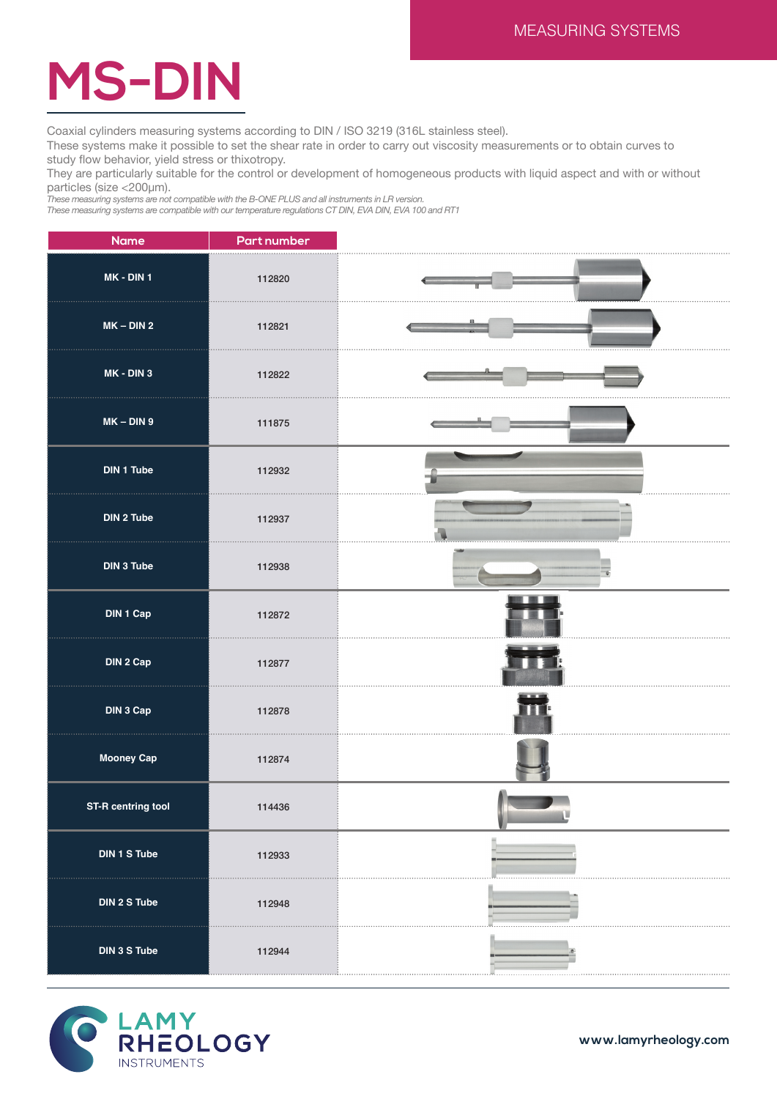## **MS-DIN**

Coaxial cylinders measuring systems according to DIN / ISO 3219 (316L stainless steel).

These systems make it possible to set the shear rate in order to carry out viscosity measurements or to obtain curves to study flow behavior, yield stress or thixotropy.

They are particularly suitable for the control or development of homogeneous products with liquid aspect and with or without particles (size <200μm).

*These measuring systems are not compatible with the B-ONE PLUS and all instruments in LR version.*

*These measuring systems are compatible with our temperature regulations CT DIN, EVA DIN, EVA 100 and RT1*

| <b>Name</b>        | Part number |  |
|--------------------|-------------|--|
| MK - DIN 1         | 112820      |  |
| $MK - DIN$ 2       | 112821      |  |
| MK - DIN 3         | 112822      |  |
| $MK - DIN9$        | 111875      |  |
| <b>DIN 1 Tube</b>  | 112932      |  |
| DIN 2 Tube         | 112937      |  |
| <b>DIN 3 Tube</b>  | 112938      |  |
| DIN 1 Cap          | 112872      |  |
| DIN 2 Cap          | 112877      |  |
| DIN 3 Cap          | 112878      |  |
| <b>Mooney Cap</b>  | 112874      |  |
| ST-R centring tool | 114436      |  |
| DIN 1 S Tube       | 112933      |  |
| DIN 2 S Tube       | 112948      |  |
| DIN 3 S Tube       | 112944      |  |